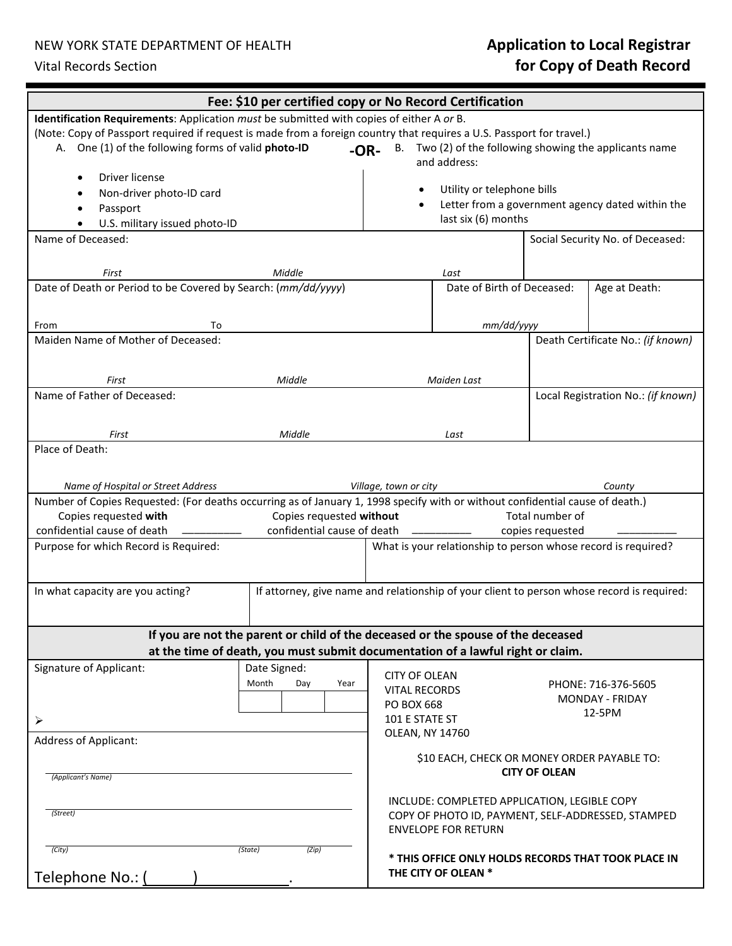## NEW YORK STATE DEPARTMENT OF HEALTH **Application to Local Registrar** Vital Records Section **for Copy of Death Record**

| Fee: \$10 per certified copy or No Record Certification                                                                                                             |                                                                                  |                                                                                            |                                                                                   |                                    |                                   |  |
|---------------------------------------------------------------------------------------------------------------------------------------------------------------------|----------------------------------------------------------------------------------|--------------------------------------------------------------------------------------------|-----------------------------------------------------------------------------------|------------------------------------|-----------------------------------|--|
| Identification Requirements: Application must be submitted with copies of either A or B.                                                                            |                                                                                  |                                                                                            |                                                                                   |                                    |                                   |  |
| (Note: Copy of Passport required if request is made from a foreign country that requires a U.S. Passport for travel.)                                               |                                                                                  |                                                                                            |                                                                                   |                                    |                                   |  |
| A. One (1) of the following forms of valid photo-ID<br>Two (2) of the following showing the applicants name<br>B.<br>$-OR-$                                         |                                                                                  |                                                                                            |                                                                                   |                                    |                                   |  |
|                                                                                                                                                                     |                                                                                  |                                                                                            | and address:                                                                      |                                    |                                   |  |
| Driver license                                                                                                                                                      |                                                                                  |                                                                                            | Utility or telephone bills                                                        |                                    |                                   |  |
| Non-driver photo-ID card                                                                                                                                            |                                                                                  |                                                                                            | Letter from a government agency dated within the                                  |                                    |                                   |  |
| Passport<br>U.S. military issued photo-ID                                                                                                                           | last six (6) months                                                              |                                                                                            |                                                                                   |                                    |                                   |  |
| Name of Deceased:<br>Social Security No. of Deceased:                                                                                                               |                                                                                  |                                                                                            |                                                                                   |                                    |                                   |  |
|                                                                                                                                                                     |                                                                                  |                                                                                            |                                                                                   |                                    |                                   |  |
| Middle<br>First                                                                                                                                                     |                                                                                  |                                                                                            | Last                                                                              |                                    |                                   |  |
| Date of Death or Period to be Covered by Search: (mm/dd/yyyy)                                                                                                       |                                                                                  |                                                                                            | Date of Birth of Deceased:                                                        |                                    | Age at Death:                     |  |
|                                                                                                                                                                     |                                                                                  |                                                                                            |                                                                                   |                                    |                                   |  |
| From<br>To                                                                                                                                                          |                                                                                  |                                                                                            | mm/dd/yyyy                                                                        |                                    |                                   |  |
| Maiden Name of Mother of Deceased:                                                                                                                                  |                                                                                  |                                                                                            |                                                                                   |                                    | Death Certificate No.: (if known) |  |
|                                                                                                                                                                     |                                                                                  |                                                                                            |                                                                                   |                                    |                                   |  |
|                                                                                                                                                                     |                                                                                  |                                                                                            |                                                                                   |                                    |                                   |  |
| Middle<br>First<br>Name of Father of Deceased:                                                                                                                      |                                                                                  | Maiden Last                                                                                |                                                                                   | Local Registration No.: (if known) |                                   |  |
|                                                                                                                                                                     |                                                                                  |                                                                                            |                                                                                   |                                    |                                   |  |
|                                                                                                                                                                     |                                                                                  |                                                                                            |                                                                                   |                                    |                                   |  |
| First                                                                                                                                                               | Middle                                                                           |                                                                                            | Last                                                                              |                                    |                                   |  |
| Place of Death:                                                                                                                                                     |                                                                                  |                                                                                            |                                                                                   |                                    |                                   |  |
|                                                                                                                                                                     |                                                                                  |                                                                                            |                                                                                   |                                    |                                   |  |
| Name of Hospital or Street Address<br>Village, town or city<br>County                                                                                               |                                                                                  |                                                                                            |                                                                                   |                                    |                                   |  |
| Number of Copies Requested: (For deaths occurring as of January 1, 1998 specify with or without confidential cause of death.)                                       |                                                                                  |                                                                                            |                                                                                   |                                    |                                   |  |
| Copies requested with<br>Copies requested without                                                                                                                   |                                                                                  |                                                                                            |                                                                                   | Total number of                    |                                   |  |
| confidential cause of death<br>confidential cause of death<br>Purpose for which Record is Required:                                                                 |                                                                                  |                                                                                            | copies requested<br>What is your relationship to person whose record is required? |                                    |                                   |  |
|                                                                                                                                                                     |                                                                                  |                                                                                            |                                                                                   |                                    |                                   |  |
|                                                                                                                                                                     |                                                                                  |                                                                                            |                                                                                   |                                    |                                   |  |
| In what capacity are you acting?                                                                                                                                    |                                                                                  | If attorney, give name and relationship of your client to person whose record is required: |                                                                                   |                                    |                                   |  |
|                                                                                                                                                                     |                                                                                  |                                                                                            |                                                                                   |                                    |                                   |  |
|                                                                                                                                                                     |                                                                                  |                                                                                            |                                                                                   |                                    |                                   |  |
| If you are not the parent or child of the deceased or the spouse of the deceased<br>at the time of death, you must submit documentation of a lawful right or claim. |                                                                                  |                                                                                            |                                                                                   |                                    |                                   |  |
|                                                                                                                                                                     |                                                                                  |                                                                                            |                                                                                   |                                    |                                   |  |
| Signature of Applicant:                                                                                                                                             | Date Signed:                                                                     | <b>CITY OF OLEAN</b>                                                                       |                                                                                   |                                    |                                   |  |
|                                                                                                                                                                     | Month<br>Day<br>Year                                                             | <b>VITAL RECORDS</b>                                                                       |                                                                                   |                                    | PHONE: 716-376-5605               |  |
|                                                                                                                                                                     |                                                                                  | PO BOX 668                                                                                 |                                                                                   |                                    | MONDAY - FRIDAY<br>12-5PM         |  |
| $\blacktriangleright$                                                                                                                                               |                                                                                  | 101 E STATE ST                                                                             |                                                                                   |                                    |                                   |  |
| <b>Address of Applicant:</b>                                                                                                                                        |                                                                                  | OLEAN, NY 14760                                                                            |                                                                                   |                                    |                                   |  |
|                                                                                                                                                                     |                                                                                  |                                                                                            | \$10 EACH, CHECK OR MONEY ORDER PAYABLE TO:                                       |                                    |                                   |  |
| (Applicant's Name)                                                                                                                                                  | <b>CITY OF OLEAN</b>                                                             |                                                                                            |                                                                                   |                                    |                                   |  |
|                                                                                                                                                                     |                                                                                  |                                                                                            |                                                                                   |                                    |                                   |  |
| (Street)                                                                                                                                                            | INCLUDE: COMPLETED APPLICATION, LEGIBLE COPY                                     |                                                                                            |                                                                                   |                                    |                                   |  |
|                                                                                                                                                                     | COPY OF PHOTO ID, PAYMENT, SELF-ADDRESSED, STAMPED<br><b>ENVELOPE FOR RETURN</b> |                                                                                            |                                                                                   |                                    |                                   |  |
|                                                                                                                                                                     |                                                                                  |                                                                                            |                                                                                   |                                    |                                   |  |
| (City)<br>(State)<br>(Zip)                                                                                                                                          |                                                                                  |                                                                                            | * THIS OFFICE ONLY HOLDS RECORDS THAT TOOK PLACE IN                               |                                    |                                   |  |
| Telephone No.: (                                                                                                                                                    | THE CITY OF OLEAN *                                                              |                                                                                            |                                                                                   |                                    |                                   |  |
|                                                                                                                                                                     |                                                                                  |                                                                                            |                                                                                   |                                    |                                   |  |